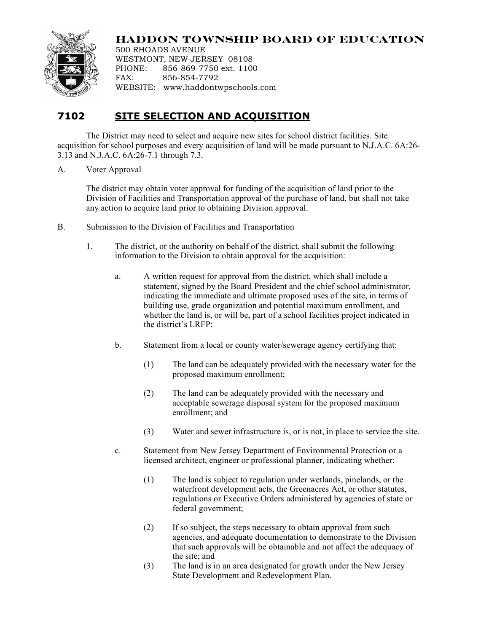

## **HADDON TOWNSHIP BOARD OF EDUCATION**

500 RHOADS AVENUE WESTMONT, NEW JERSEY 08108 PHONE: 856-869-7750 ext. 1100 FAX: 856-854-7792 WEBSITE: www.haddontwpschools.com

## **7102 SITE SELECTION AND ACQUISITION**

The District may need to select and acquire new sites for school district facilities. Site acquisition for school purposes and every acquisition of land will be made pursuant to N.J.A.C. 6A:26- 3.13 and N.J.A.C. 6A:26-7.1 through 7.3.

A. Voter Approval

The district may obtain voter approval for funding of the acquisition of land prior to the Division of Facilities and Transportation approval of the purchase of land, but shall not take any action to acquire land prior to obtaining Division approval.

- B. Submission to the Division of Facilities and Transportation
	- 1. The district, or the authority on behalf of the district, shall submit the following information to the Division to obtain approval for the acquisition:
		- a. A written request for approval from the district, which shall include a statement, signed by the Board President and the chief school administrator, indicating the immediate and ultimate proposed uses of the site, in terms of building use, grade organization and potential maximum enrollment, and whether the land is, or will be, part of a school facilities project indicated in the district's LRFP:
		- b. Statement from a local or county water/sewerage agency certifying that:
			- (1) The land can be adequately provided with the necessary water for the proposed maximum enrollment;
			- (2) The land can be adequately provided with the necessary and acceptable sewerage disposal system for the proposed maximum enrollment; and
			- (3) Water and sewer infrastructure is, or is not, in place to service the site.
		- c. Statement from New Jersey Department of Environmental Protection or a licensed architect, engineer or professional planner, indicating whether:
			- (1) The land is subject to regulation under wetlands, pinelands, or the waterfront development acts, the Greenacres Act, or other statutes, regulations or Executive Orders administered by agencies of state or federal government;
			- (2) If so subject, the steps necessary to obtain approval from such agencies, and adequate documentation to demonstrate to the Division that such approvals will be obtainable and not affect the adequacy of the site; and
			- (3) The land is in an area designated for growth under the New Jersey State Development and Redevelopment Plan.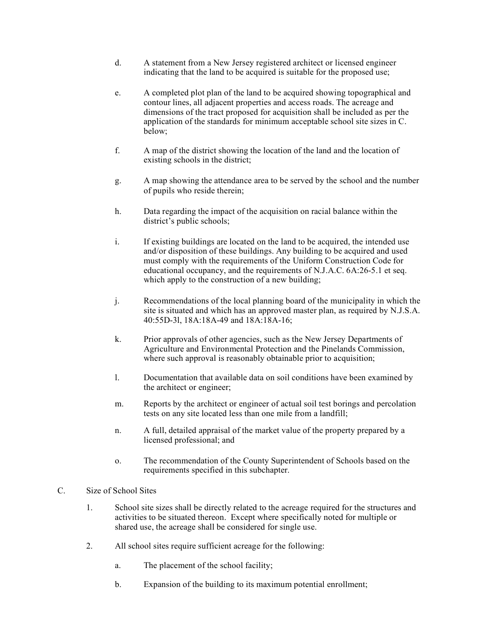- d. A statement from a New Jersey registered architect or licensed engineer indicating that the land to be acquired is suitable for the proposed use;
- e. A completed plot plan of the land to be acquired showing topographical and contour lines, all adjacent properties and access roads. The acreage and dimensions of the tract proposed for acquisition shall be included as per the application of the standards for minimum acceptable school site sizes in C. below;
- f. A map of the district showing the location of the land and the location of existing schools in the district;
- g. A map showing the attendance area to be served by the school and the number of pupils who reside therein;
- h. Data regarding the impact of the acquisition on racial balance within the district's public schools;
- i. If existing buildings are located on the land to be acquired, the intended use and/or disposition of these buildings. Any building to be acquired and used must comply with the requirements of the Uniform Construction Code for educational occupancy, and the requirements of N.J.A.C. 6A:26-5.1 et seq. which apply to the construction of a new building;
- j. Recommendations of the local planning board of the municipality in which the site is situated and which has an approved master plan, as required by N.J.S.A. 40:55D-3l, 18A:18A-49 and 18A:18A-16;
- k. Prior approvals of other agencies, such as the New Jersey Departments of Agriculture and Environmental Protection and the Pinelands Commission, where such approval is reasonably obtainable prior to acquisition;
- l. Documentation that available data on soil conditions have been examined by the architect or engineer;
- m. Reports by the architect or engineer of actual soil test borings and percolation tests on any site located less than one mile from a landfill;
- n. A full, detailed appraisal of the market value of the property prepared by a licensed professional; and
- o. The recommendation of the County Superintendent of Schools based on the requirements specified in this subchapter.

## C. Size of School Sites

- 1. School site sizes shall be directly related to the acreage required for the structures and activities to be situated thereon. Except where specifically noted for multiple or shared use, the acreage shall be considered for single use.
- 2. All school sites require sufficient acreage for the following:
	- a. The placement of the school facility;
	- b. Expansion of the building to its maximum potential enrollment;